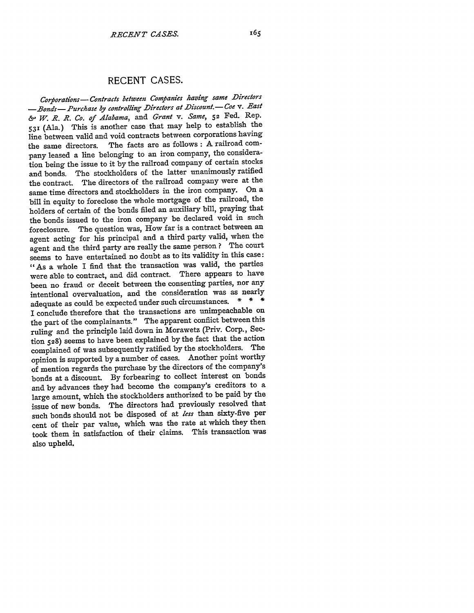## **RECENT CASES.**

Corporations- Contracts between Companies having same Directors *-Bonds- Purchase by controlling Directors at Discount.- Coe v. East* **&** *W. R. Co. of Alabama,* and *Grant v. Same,* **52** Fed. Rep. <sup>531</sup>(Ala.) This is another case that may help to establish the line between valid and void contracts between corporations having The facts are as follows: A railroad company leased a line belonging to an iron company, the consideration being the issue to it by the railroad company of certain stocks and bonds. The stockholders of the latter unanimously ratified the contract. The directors of the railroad company were at the same time directors and stockholders in the iron company. On a bill in equity to foreclose the whole mortgage of the railroad, the holders of certain of the bonds filed an auxiliary bill, praying that the bonds issued to the iron company be declared void in such foreclosure. The question was, How far is a contract between an agent acting for his principal and a third party valid, when the agent and the third party are really the same person? The court seems to have entertained no doubt as to its validity in this case: "As a whole I find that the transaction was valid, the parties were able to contract, and did contract. There appears to have been no fraud or deceit between the consenting parties, nor any intentional overvaluation, and the consideration was as nearly adequate as could be expected under such circumstances. *\** **\* \*** I conclude therefore that the transactions are unimpeachable on the part of the complainants." The apparent conflict between this ruling and the principle laid down in Morawetz (Priv. Corp., Section **528)** seems to have been explained by the fact that the action complained of was subsequently ratified by the stockholders. The opinion is supported by a number of cases. Another point worthy of mention regards the purchase by the directors of the company's bonds at a discount. By forbearing to collect interest on bonds and by advances they had become the company's creditors to a large amount, which the stockholders authorized to be paid by the issue of new bonds. The directors had previously resolved that such bonds should not be disposed of at *less* than sixty-five per cent of their par value, which was the rate at which they then took them in satisfaction of their claims. This transaction was also upheld.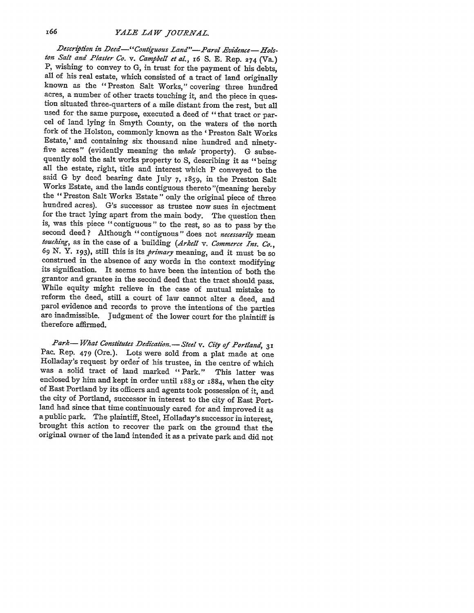## YALE LAW JOURNAL.

Description in Deed-"Contiguous Land"- Parol Evidence- Hols*ton Salt and Plaster Co. v. Campbell et al., 16* S. E. Rep. 274 (Va.) P, wishing to convey to G, in trust for the payment of his debts, all of his real estate, which consisted of a tract of land originally known as the "Preston Salt Works," covering three hundred acres, a number of other tracts touching it, and the piece in question situated three-quarters of a mile distant from the rest, but all used for the same purpose, executed a deed of "that tract or parcel of land lying in Smyth County, on the waters of the north fork of the Holston, commonly known as the *'* Preston Salt Works Estate,' and containing six thousand nine hundred and ninetyfive acres" (evidently meaning the *whole* 'property). G subsequently sold the salt works property to S, describing it as "being all the estate, right, title and interest which P conveyed to the said G by deed bearing date July 7, 1859, in the Preston Salt Works Estate, and the lands contiguous thereto "(meaning hereby the "Preston Salt Works Estate" only the original piece of three hundred acres). G's successor as trustee now sues in ejectment for the tract lying apart from the main body. The question then is, was this piece "contiguous" to the rest, so as to pass by the second deed? Although "contiguous" does not *necessarily* mean *touching*, as in the case of a building *(Arkell v. Commerce Ins. Co.*, 69 N. Y. 193), still this is its *primary* meaning, and it must be so construed in the absence of any words in the context modifying its signification. It seems to have been the intention of both the grantor and grantee in the second deed that the tract should pass. While equity might relieve in the case of mutual mistake to reform the deed, still a court of law cannot alter a deed, and parol evidence and records to prove the intentions of the parties are inadmissible. Judgment of the lower court for the plaintiff is therefore affirmed.

*Park*— What Constitutes Dedication.— Steel v. City of Portland, 31<br>Pac. Rep. 479 (Ore.). Lots were sold from a plat made at one Holladay's request by order of his trustee, in the centre of which<br>was a solid tract of land marked "Park." This latter was<br>enclosed by him and kept in order until 1883 or 1884, when the city of East Portland by its officers and agents took possession of it, and the city of Portland, successor in interest to the city of East Portland had since that time continuously cared for and improved it as apublic park. The plaintiff, Steel, Holladay's successor in interest, brought this action to recover the park on the ground that the original owner of the land intended it as a private park and did not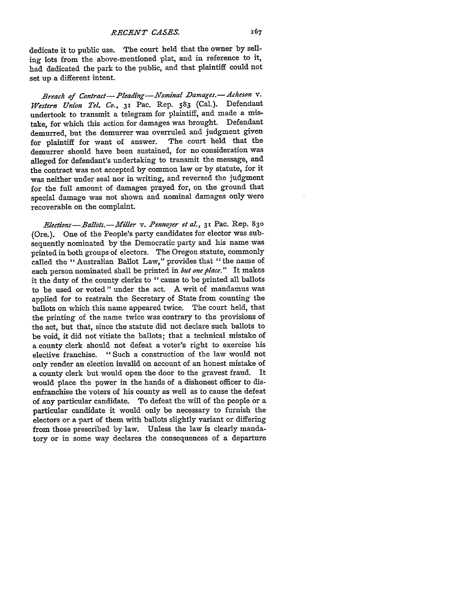dedicate it to public use. The court held that the owner **by** selling lots from the above-mentioned plat, and in reference to it, had dedicated the park to the public, and that plaintiff could not set up a different intent.

Breach of Contract- Pleading-Nominal Damages.- Acheson v. *Western Union Tel. Co.,* **31** Pac. Rep. 583 (Cal.). Defendant undertook to transmit a telegram for plaintiff, and made a mistake, for which this action for damages was brought. Defendant demurred, but the demurrer was overruled and judgment given for plaintiff for want of answer. The court held that the demurrer should have been sustained, for no consideration was alleged for defendant's undertaking to transmit the message, and the contract was not accepted **by** common law or **by** statute, for it was neither under seal nor in writing, and reversed the judgment for the full amount of damages prayed for, on the ground that special damage was not shown and nominal damages only were recoverable on the complaint.

*Elections - Ballots.-Miller v. Pennoyer et al.,* 3' Pac. Rep. **<sup>830</sup>** (Ore.). One of the People's party candidates for elector was subsequently nominated **by** the Democratic party and his name was printed in both groups of electors. The Oregon statute, commonly called the "Australian Ballot Law," provides that "the name of each person nominated shall be printed in *but one place."* It makes it the duty of the county clerks to "cause to be printed all ballots to be used or voted" under the act. A writ of mandamus was applied for to restrain the Secretary of State from counting the ballots on which this name appeared twice. The court held, that the printing of the name twice was contrary to the provisions of the act, but that, since the statute did not declare such ballots to be void, it did not vitiate the ballots; that a technical mistake of a county clerk should not defeat a voter's right to exercise his elective franchise. "Such a construction of the law would not only render an election invalid on account of an honest mistake of a county clerk but would open the door to the gravest fraud. It would place the power in the hands of a dishonest officer to disenfranchise the voters of his county as well as to cause the defeat of any particular candidate. To defeat the will of the people or a particular candidate it would only be necessary to furnish the electors or a part of them with ballots slightly variant or differing from those prescribed by law. Unless the law is clearly mandatory or in some way declares the consequences of a departure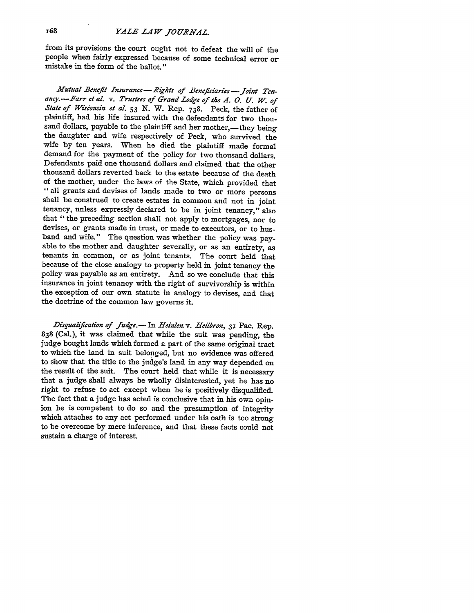from its provisions the court ought not to defeat the will of the people when fairly expressed because of some technical error or mistake in the form of the ballot."

*Mutual Benefit Insurance -* Rights *of Beneficiaries -Joint Tenancy.-Ffarr et* al. *v. Trustees of Grand Lodge of the A. 0. U. W. of State of Wisdonsin et* al. **<sup>53</sup>**N. W. Rep. 738. Peck, the father of plaintiff, had his life insured with the defendants for two thousand dollars, payable to the plaintiff and her mother,—they being the daughter and wife respectively of Peck, who survived the wife by ten years. When he died the plaintiff made formal demand for the payment of the policy for two thousand dollars. Defendants paid one thousand dollars and claimed that the other thousand dollars reverted back to the estate because of the death of the mother, under the laws of the State, which provided that "all grants and devises of lands made to two or more persons shall be construed to create estates in common and not in joint tenancy, unless expressly declared to be in joint tenancy," also that "the preceding section shall not apply to mortgages, nor to devises, or grants made in trust, or made to executors, or to husband and wife." The question was whether the policy was payable to the mother and daughter severally, or as an entirety, as tenants in common, or as joint tenants. The court held that because of the close analogy to property held in joint tenancy the policy was payable as an entirety. And so we conclude that this insurance in joint tenancy with the right of survivorship is within the exception of our own statute in analogy to devises, and that the doctrine of the common law governs it.

*.Disgualification of Judge.- In Heinlen v. Hedibron, 31* Pac. Rep. 838 (Cal.), it was claimed that while the suit was pending, the judge bought lands which formed a part of the same original tract to which the land in suit belonged, but no evidence was offered to show that the title to the judge's land in any way depended on the result of the suit. The court held that while it is necessary that a judge shall always be wholly disinterested, yet he has no right to refuse to act except when he is positively disqualified. The fact that a judge has acted is conclusive that in his own opinion he is competent to do so and the presumption of integrity which attaches to any act performed under his oath is too strong to be overcome by mere inference, and that these facts could not sustain a charge of interest.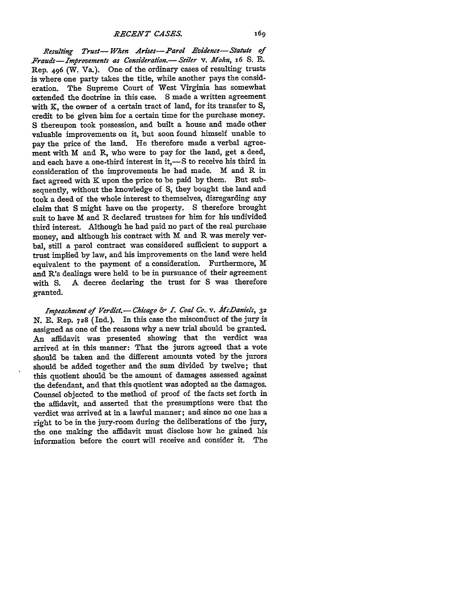*Resulting Trust- When Arises-Parol Evidence- Statute of Frauds-Imbrovements as Consideration.- Seiler v. Mohn, i6* **S.** *E.* Rep. 496 (W. Va.). One of the ordinary cases of resulting trusts is where one party takes the title, while another pays the consideration. The Supreme Court of West Virginia has somewhat extended the doctrine in this case. S made a written agreement with **K,** the owner of a certain tract of land, for its transfer to **S,** credit to be given him for a certain time for the purchase money. S thereupon took possession, and built a house and made other valuable improvements on it, but soon found himself unable to pay the price of the land. He therefore made a verbal agreement with M and R, who were to pay for the land, get a deed, and each have a one-third interest in it,-S to receive his third in consideration of the improvements he had made. M and R in fact agreed with K upon the price to be paid by them. But subsequently, without the knowledge of **S,** they bought the land and took a deed of the whole interest to themselves, disregarding any claim that S might have on the property. S therefore brought suit to have M and R declared trustees for him for his undivided third interest. Although he had paid no part of the real purchase money, and although his contract with M and R was merely verbal, still a parol contract was considered sufficient to support a trust implied by law, and his improvements on the land were held equivalent to the payment of a consideration. Furthermore, M and R's dealings were held to be in pursuance of their agreement with S. A decree declaring the trust for S was therefore granted.

*Impeachment of Verdict.-Chicago &- L. Coal Co. v. h cDaniels,* **32 N.** E. Rep. **728** (Ind.). In this case the misconduct of the jury is assigned as one of the reasons why a new trial should be granted. An affidavit was presented showing that the verdict was arrived at in this manner: That the jurors agreed that a vote should be taken and the different amounts voted by the jurors should be added together and the sum divided by twelve; that this quotient should be the amount of damages assessed against the defendant, and that this quotient was adopted as the damages. Counsel objected to the method of proof of the facts set forth in the affidavit, and asserted that the presumptions were that the verdict was arrived at in a lawful manner; and since no one has a right to be in the jury-room during the deliberations of the jury, the one making the affidavit must disclose how he gained his information before the court will receive and consider it. The